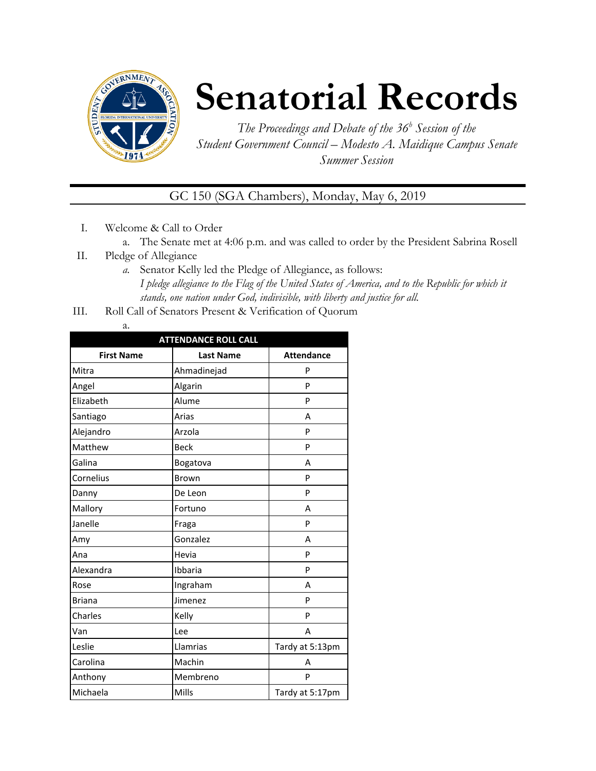

## **Senatorial Records**

*The Proceedings and Debate of the 36 <sup>h</sup> Session of the Student Government Council – Modesto A. Maidique Campus Senate Summer Session*

GC 150 (SGA Chambers), Monday, May 6, 2019

- I. Welcome & Call to Order
	- a. The Senate met at 4:06 p.m. and was called to order by the President Sabrina Rosell
- II. Pledge of Allegiance
	- *a.* Senator Kelly led the Pledge of Allegiance, as follows: *I pledge allegiance to the Flag of the United States of America, and to the Republic for which it stands, one nation under God, indivisible, with liberty and justice for all.*
- III. Roll Call of Senators Present & Verification of Quorum
	- a.

| <b>ATTENDANCE ROLL CALL</b> |                  |                   |  |  |
|-----------------------------|------------------|-------------------|--|--|
| <b>First Name</b>           | <b>Last Name</b> | <b>Attendance</b> |  |  |
| Mitra                       | Ahmadinejad      | P                 |  |  |
| Angel                       | Algarin          | P                 |  |  |
| Elizabeth                   | Alume            | P                 |  |  |
| Santiago                    | Arias            | A                 |  |  |
| Alejandro                   | Arzola           | P                 |  |  |
| Matthew                     | <b>Beck</b>      | P                 |  |  |
| Galina                      | Bogatova         | A                 |  |  |
| Cornelius                   | Brown            | P                 |  |  |
| Danny                       | De Leon          | P                 |  |  |
| Mallory                     | Fortuno          | А                 |  |  |
| Janelle                     | Fraga            | P                 |  |  |
| Amy                         | Gonzalez         | А                 |  |  |
| Ana                         | Hevia            | P                 |  |  |
| Alexandra                   | Ibbaria          | P                 |  |  |
| Rose                        | Ingraham         | A                 |  |  |
| <b>Briana</b>               | Jimenez          | P                 |  |  |
| Charles                     | Kelly            | P                 |  |  |
| Van                         | Lee              | A                 |  |  |
| Leslie                      | Llamrias         | Tardy at 5:13pm   |  |  |
| Carolina                    | Machin           | А                 |  |  |
| Anthony                     | Membreno         | P                 |  |  |
| Michaela                    | Mills            | Tardy at 5:17pm   |  |  |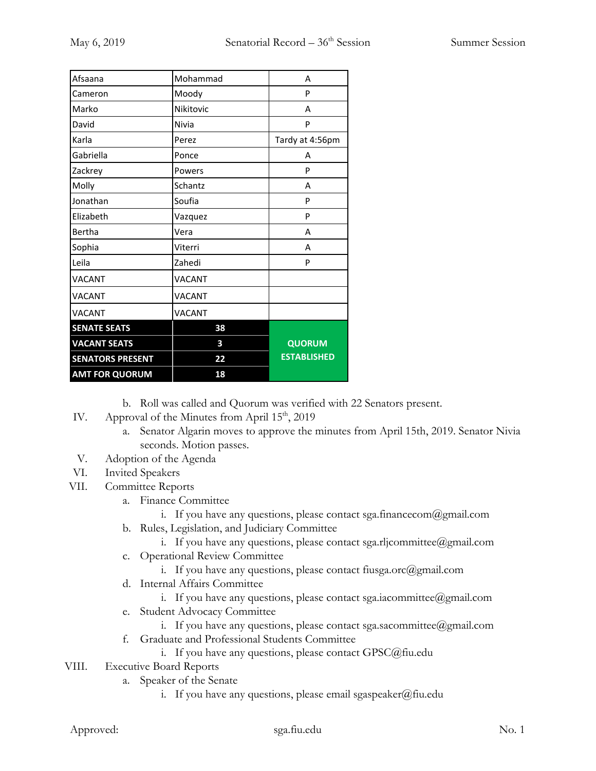| Afsaana                 | Mohammad  | A                  |
|-------------------------|-----------|--------------------|
| Cameron                 | Moody     | P                  |
| Marko                   | Nikitovic | А                  |
| David                   | Nivia     | P                  |
| Karla                   | Perez     | Tardy at 4:56pm    |
| Gabriella               | Ponce     | А                  |
| Zackrey                 | Powers    | P                  |
| Molly                   | Schantz   | А                  |
| Jonathan                | Soufia    | P                  |
| Elizabeth               | Vazquez   | P                  |
| Bertha                  | Vera      | А                  |
| Sophia                  | Viterri   | А                  |
| Leila                   | Zahedi    | P                  |
| <b>VACANT</b>           | VACANT    |                    |
| <b>VACANT</b>           | VACANT    |                    |
| <b>VACANT</b>           | VACANT    |                    |
| <b>SENATE SEATS</b>     | 38        |                    |
| <b>VACANT SEATS</b>     | 3         | <b>QUORUM</b>      |
| <b>SENATORS PRESENT</b> | 22        | <b>ESTABLISHED</b> |
| <b>AMT FOR QUORUM</b>   | 18        |                    |

b. Roll was called and Quorum was verified with 22 Senators present.

- IV. Approval of the Minutes from April 15<sup>th</sup>, 2019
	- a. Senator Algarin moves to approve the minutes from April 15th, 2019. Senator Nivia seconds. Motion passes.
- V. Adoption of the Agenda
- VI. Invited Speakers
- VII. Committee Reports
	- a. Finance Committee
		- i. If you have any questions, please contact sga.financecom $(\partial g$ mail.com
	- b. Rules, Legislation, and Judiciary Committee
		- i. If you have any questions, please contact sga.rljcommittee@gmail.com
	- c. Operational Review Committee
		- i. If you have any questions, please contact fiusga.orc $(\partial \text{gmail.com})$
	- d. Internal Affairs Committee
		- i. If you have any questions, please contact sga.iacommittee@gmail.com
	- e. Student Advocacy Committee
		- i. If you have any questions, please contact sga.sacommittee@gmail.com
	- f. Graduate and Professional Students Committee
		- i. If you have any questions, please contact GPSC@fiu.edu
- VIII. Executive Board Reports
	- a. Speaker of the Senate
		- i. If you have any questions, please email sgaspeaker@fiu.edu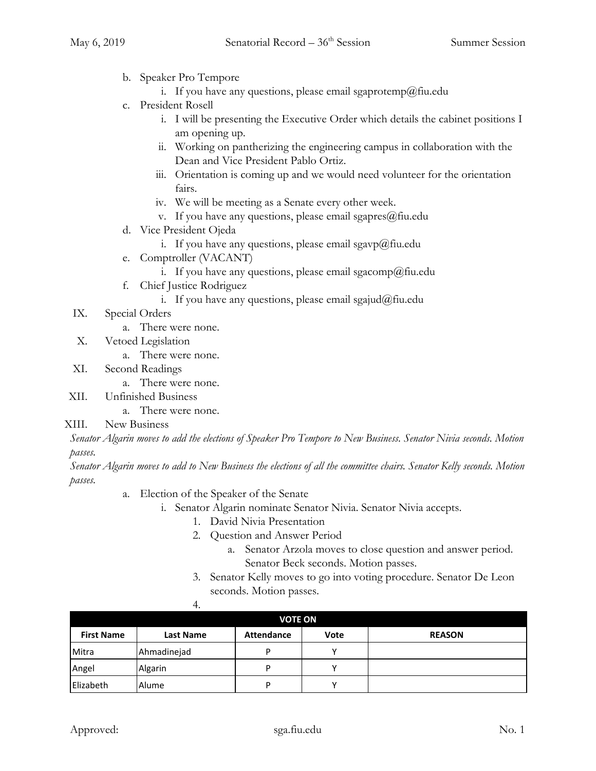- b. Speaker Pro Tempore
	- i. If you have any questions, please email sgaprotemp@fiu.edu
- c. President Rosell
	- i. I will be presenting the Executive Order which details the cabinet positions I am opening up.
	- ii. Working on pantherizing the engineering campus in collaboration with the Dean and Vice President Pablo Ortiz.
	- iii. Orientation is coming up and we would need volunteer for the orientation fairs.
	- iv. We will be meeting as a Senate every other week.
	- v. If you have any questions, please email sgapres $@$ fiu.edu
- d. Vice President Ojeda
	- i. If you have any questions, please email sgavp@fiu.edu
- e. Comptroller (VACANT)
	- i. If you have any questions, please email sgacomp@fiu.edu
- f. Chief Justice Rodriguez
	- i. If you have any questions, please email sgajud@fiu.edu
- IX. Special Orders
	- a. There were none.
- X. Vetoed Legislation
	- a. There were none.
- XI. Second Readings
	- a. There were none.
- XII. Unfinished Business
	- a. There were none.

## XIII. New Business

*Senator Algarin moves to add the elections of Speaker Pro Tempore to New Business. Senator Nivia seconds. Motion passes.*

*Senator Algarin moves to add to New Business the elections of all the committee chairs. Senator Kelly seconds. Motion passes.*

- a. Election of the Speaker of the Senate
	- i. Senator Algarin nominate Senator Nivia. Senator Nivia accepts.
		- 1. David Nivia Presentation
		- 2. Question and Answer Period
			- a. Senator Arzola moves to close question and answer period. Senator Beck seconds. Motion passes.
		- 3. Senator Kelly moves to go into voting procedure. Senator De Leon seconds. Motion passes.

|                   | 4.               |                   |              |               |
|-------------------|------------------|-------------------|--------------|---------------|
|                   |                  | <b>VOTE ON</b>    |              |               |
| <b>First Name</b> | <b>Last Name</b> | <b>Attendance</b> | <b>Vote</b>  | <b>REASON</b> |
| Mitra             | Ahmadinejad      | D                 | $\checkmark$ |               |
| Angel             | Algarin          | P                 | v            |               |
| Elizabeth         | Alume            | P                 | v            |               |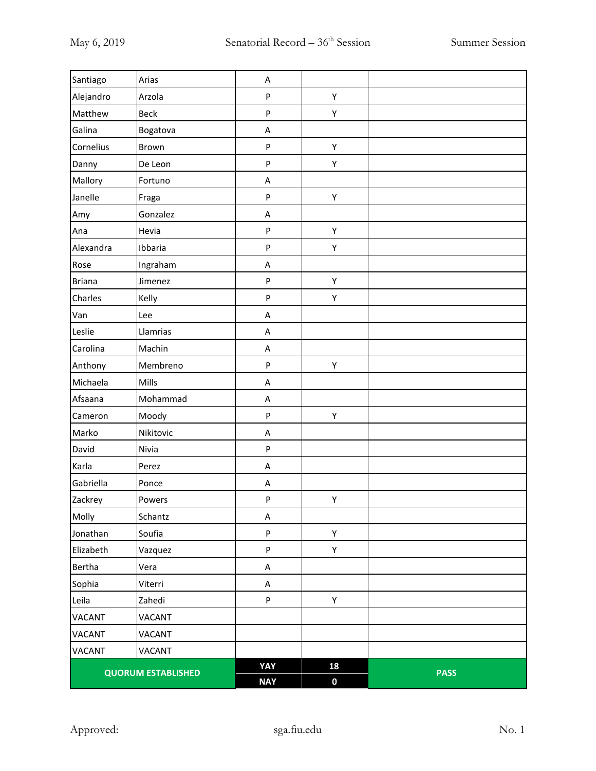| Santiago      | Arias                     | A          |             |             |
|---------------|---------------------------|------------|-------------|-------------|
| Alejandro     | Arzola                    | ${\sf P}$  | Υ           |             |
| Matthew       | <b>Beck</b>               | ${\sf P}$  | Υ           |             |
| Galina        | Bogatova                  | A          |             |             |
| Cornelius     | Brown                     | ${\sf P}$  | Υ           |             |
| Danny         | De Leon                   | ${\sf P}$  | Υ           |             |
| Mallory       | Fortuno                   | A          |             |             |
| Janelle       | Fraga                     | ${\sf P}$  | Υ           |             |
| Amy           | Gonzalez                  | A          |             |             |
| Ana           | Hevia                     | ${\sf P}$  | Υ           |             |
| Alexandra     | Ibbaria                   | ${\sf P}$  | Υ           |             |
| Rose          | Ingraham                  | A          |             |             |
| <b>Briana</b> | Jimenez                   | $\sf P$    | Υ           |             |
| Charles       | Kelly                     | ${\sf P}$  | Υ           |             |
| Van           | Lee                       | A          |             |             |
| Leslie        | Llamrias                  | A          |             |             |
| Carolina      | Machin                    | A          |             |             |
| Anthony       | Membreno                  | ${\sf P}$  | Υ           |             |
| Michaela      | Mills                     | A          |             |             |
| Afsaana       | Mohammad                  | A          |             |             |
| Cameron       | Moody                     | ${\sf P}$  | Υ           |             |
| Marko         | Nikitovic                 | A          |             |             |
| David         | Nivia                     | ${\sf P}$  |             |             |
| Karla         | Perez                     | A          |             |             |
| Gabriella     | Ponce                     | A          |             |             |
| Zackrey       | Powers                    | ${\sf P}$  | Υ           |             |
| Molly         | Schantz                   | A          |             |             |
| Jonathan      | Soufia                    | ${\sf P}$  | Υ           |             |
| Elizabeth     | Vazquez                   | ${\sf P}$  | Υ           |             |
| Bertha        | Vera                      | A          |             |             |
| Sophia        | Viterri                   | A          |             |             |
| Leila         | Zahedi                    | ${\sf P}$  | Υ           |             |
| <b>VACANT</b> | <b>VACANT</b>             |            |             |             |
| <b>VACANT</b> | <b>VACANT</b>             |            |             |             |
| <b>VACANT</b> | VACANT                    |            |             |             |
|               | <b>QUORUM ESTABLISHED</b> | YAY        | 18          | <b>PASS</b> |
|               |                           | <b>NAY</b> | $\mathbf 0$ |             |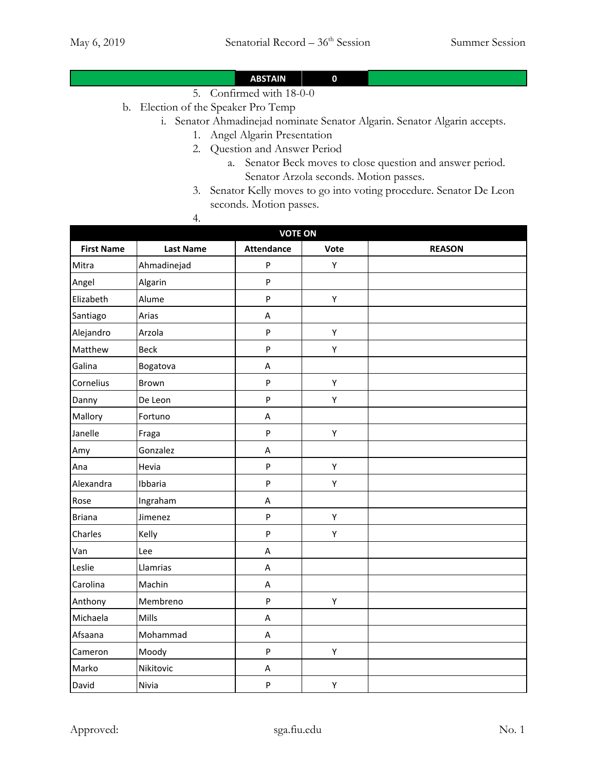## **ABSTAIN 0**

- 5. Confirmed with 18-0-0
- b. Election of the Speaker Pro Temp
	- i. Senator Ahmadinejad nominate Senator Algarin. Senator Algarin accepts.
		- 1. Angel Algarin Presentation
		- 2. Question and Answer Period
			- a. Senator Beck moves to close question and answer period. Senator Arzola seconds. Motion passes.
		- 3. Senator Kelly moves to go into voting procedure. Senator De Leon seconds. Motion passes.

4.

|                   | <b>VOTE ON</b>   |                           |      |               |  |  |
|-------------------|------------------|---------------------------|------|---------------|--|--|
| <b>First Name</b> | <b>Last Name</b> | <b>Attendance</b>         | Vote | <b>REASON</b> |  |  |
| Mitra             | Ahmadinejad      | P                         | Υ    |               |  |  |
| Angel             | Algarin          | P                         |      |               |  |  |
| Elizabeth         | Alume            | P                         | Υ    |               |  |  |
| Santiago          | Arias            | A                         |      |               |  |  |
| Alejandro         | Arzola           | P                         | Υ    |               |  |  |
| Matthew           | <b>Beck</b>      | P                         | Υ    |               |  |  |
| Galina            | Bogatova         | A                         |      |               |  |  |
| Cornelius         | Brown            | ${\sf P}$                 | Υ    |               |  |  |
| Danny             | De Leon          | $\boldsymbol{\mathsf{P}}$ | Υ    |               |  |  |
| Mallory           | Fortuno          | $\sf A$                   |      |               |  |  |
| Janelle           | Fraga            | P                         | Υ    |               |  |  |
| Amy               | Gonzalez         | A                         |      |               |  |  |
| Ana               | Hevia            | P                         | Υ    |               |  |  |
| Alexandra         | Ibbaria          | P                         | Υ    |               |  |  |
| Rose              | Ingraham         | A                         |      |               |  |  |
| <b>Briana</b>     | Jimenez          | P                         | Υ    |               |  |  |
| Charles           | Kelly            | P                         | Υ    |               |  |  |
| Van               | Lee              | A                         |      |               |  |  |
| Leslie            | Llamrias         | A                         |      |               |  |  |
| Carolina          | Machin           | A                         |      |               |  |  |
| Anthony           | Membreno         | P                         | Υ    |               |  |  |
| Michaela          | Mills            | A                         |      |               |  |  |
| Afsaana           | Mohammad         | A                         |      |               |  |  |
| Cameron           | Moody            | P                         | Υ    |               |  |  |
| Marko             | Nikitovic        | A                         |      |               |  |  |
| David             | Nivia            | P                         | Υ    |               |  |  |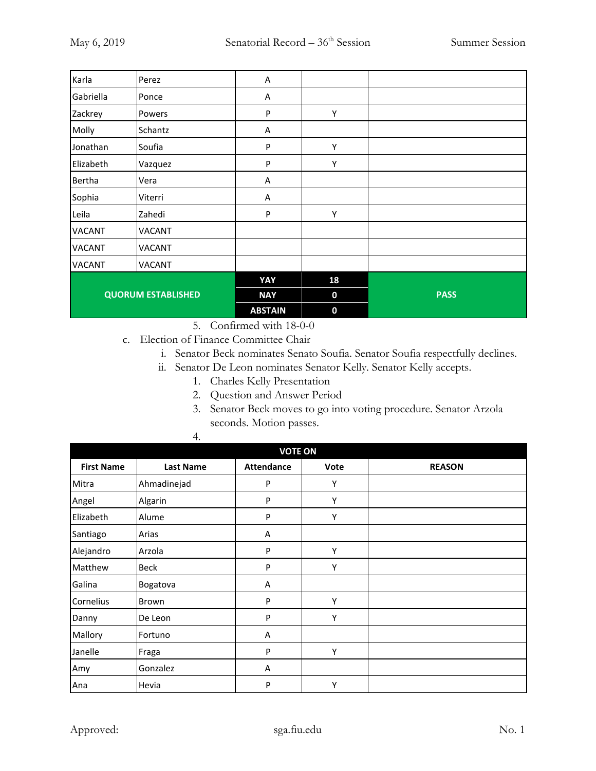| Karla                     | Perez         | A              |             |             |
|---------------------------|---------------|----------------|-------------|-------------|
| Gabriella                 | Ponce         | Α              |             |             |
| Zackrey                   | Powers        | P              | Υ           |             |
| Molly                     | Schantz       | Α              |             |             |
| Jonathan                  | Soufia        | ${\sf P}$      | Υ           |             |
| Elizabeth                 | Vazquez       | P              | Υ           |             |
| Bertha                    | Vera          | A              |             |             |
| Sophia                    | Viterri       | Α              |             |             |
| Leila                     | Zahedi        | P              | Υ           |             |
| <b>VACANT</b>             | <b>VACANT</b> |                |             |             |
| <b>VACANT</b>             | <b>VACANT</b> |                |             |             |
| <b>VACANT</b>             | VACANT        |                |             |             |
|                           |               | YAY            | 18          |             |
| <b>QUORUM ESTABLISHED</b> |               | <b>NAY</b>     | $\bf{0}$    | <b>PASS</b> |
|                           |               | <b>ABSTAIN</b> | $\mathbf 0$ |             |

5. Confirmed with 18-0-0

c. Election of Finance Committee Chair

i. Senator Beck nominates Senato Soufia. Senator Soufia respectfully declines.

- ii. Senator De Leon nominates Senator Kelly. Senator Kelly accepts.
	- 1. Charles Kelly Presentation
		- 2. Question and Answer Period
		- 3. Senator Beck moves to go into voting procedure. Senator Arzola seconds. Motion passes.

| <b>VOTE ON</b>    |                  |                   |      |               |
|-------------------|------------------|-------------------|------|---------------|
| <b>First Name</b> | <b>Last Name</b> | <b>Attendance</b> | Vote | <b>REASON</b> |
| Mitra             | Ahmadinejad      | P                 | Y    |               |
| Angel             | Algarin          | P                 | Υ    |               |
| Elizabeth         | Alume            | P                 | Υ    |               |
| Santiago          | Arias            | A                 |      |               |
| Alejandro         | Arzola           | P                 | Υ    |               |
| Matthew           | Beck             | P                 | Υ    |               |
| Galina            | Bogatova         | A                 |      |               |
| Cornelius         | Brown            | P                 | Υ    |               |
| Danny             | De Leon          | P                 | Υ    |               |
| Mallory           | Fortuno          | Α                 |      |               |
| Janelle           | Fraga            | P                 | Υ    |               |
| Amy               | Gonzalez         | A                 |      |               |
| Ana               | Hevia            | P                 | Υ    |               |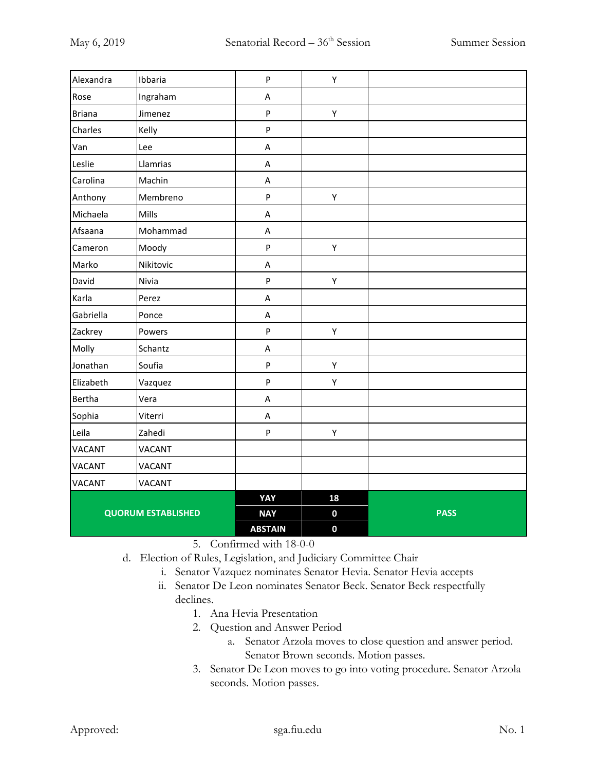| Alexandra     | Ibbaria                   | $\boldsymbol{\mathsf{P}}$ | Υ                |             |
|---------------|---------------------------|---------------------------|------------------|-------------|
| Rose          | Ingraham                  | Α                         |                  |             |
| <b>Briana</b> | Jimenez                   | $\sf P$                   | Y                |             |
| Charles       | Kelly                     | $\boldsymbol{\mathsf{P}}$ |                  |             |
| Van           | Lee                       | $\boldsymbol{\mathsf{A}}$ |                  |             |
| Leslie        | Llamrias                  | A                         |                  |             |
| Carolina      | Machin                    | A                         |                  |             |
| Anthony       | Membreno                  | ${\sf P}$                 | Υ                |             |
| Michaela      | Mills                     | A                         |                  |             |
| Afsaana       | Mohammad                  | $\sf A$                   |                  |             |
| Cameron       | Moody                     | $\mathsf{P}$              | Υ                |             |
| Marko         | Nikitovic                 | A                         |                  |             |
| David         | Nivia                     | ${\sf P}$                 | Υ                |             |
| Karla         | Perez                     | A                         |                  |             |
| Gabriella     | Ponce                     | A                         |                  |             |
| Zackrey       | Powers                    | ${\sf P}$                 | Υ                |             |
| Molly         | Schantz                   | A                         |                  |             |
| Jonathan      | Soufia                    | $\sf P$                   | Y                |             |
| Elizabeth     | Vazquez                   | $\sf P$                   | $\mathsf Y$      |             |
| Bertha        | Vera                      | $\sf A$                   |                  |             |
| Sophia        | Viterri                   | A                         |                  |             |
| Leila         | Zahedi                    | ${\sf P}$                 | Υ                |             |
| <b>VACANT</b> | <b>VACANT</b>             |                           |                  |             |
| <b>VACANT</b> | <b>VACANT</b>             |                           |                  |             |
| <b>VACANT</b> | <b>VACANT</b>             |                           |                  |             |
|               |                           | YAY                       | 18               |             |
|               | <b>QUORUM ESTABLISHED</b> | <b>NAY</b>                | $\mathbf 0$      | <b>PASS</b> |
|               |                           | <b>ABSTAIN</b>            | $\boldsymbol{0}$ |             |

5. Confirmed with 18-0-0

- d. Election of Rules, Legislation, and Judiciary Committee Chair
	- i. Senator Vazquez nominates Senator Hevia. Senator Hevia accepts
	- ii. Senator De Leon nominates Senator Beck. Senator Beck respectfully declines.
		- 1. Ana Hevia Presentation
		- 2. Question and Answer Period
			- a. Senator Arzola moves to close question and answer period. Senator Brown seconds. Motion passes.
		- 3. Senator De Leon moves to go into voting procedure. Senator Arzola seconds. Motion passes.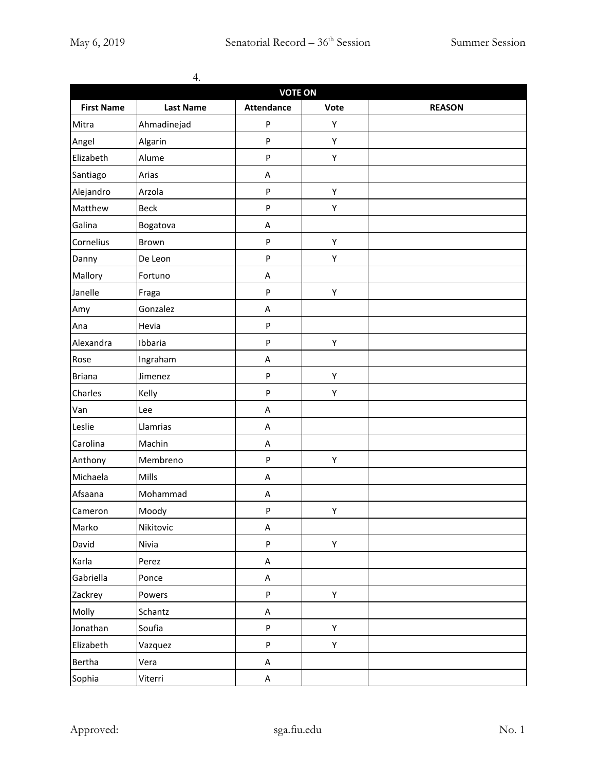|                   | 4.               |                   |      |               |  |  |
|-------------------|------------------|-------------------|------|---------------|--|--|
| <b>VOTE ON</b>    |                  |                   |      |               |  |  |
| <b>First Name</b> | <b>Last Name</b> | <b>Attendance</b> | Vote | <b>REASON</b> |  |  |
| Mitra             | Ahmadinejad      | P                 | Υ    |               |  |  |
| Angel             | Algarin          | P                 | Υ    |               |  |  |
| Elizabeth         | Alume            | P                 | Υ    |               |  |  |
| Santiago          | Arias            | A                 |      |               |  |  |
| Alejandro         | Arzola           | P                 | Υ    |               |  |  |
| Matthew           | <b>Beck</b>      | P                 | Υ    |               |  |  |
| Galina            | Bogatova         | Α                 |      |               |  |  |
| Cornelius         | Brown            | ${\sf P}$         | Υ    |               |  |  |
| Danny             | De Leon          | P                 | Υ    |               |  |  |
| Mallory           | Fortuno          | Α                 |      |               |  |  |
| Janelle           | Fraga            | ${\sf P}$         | Υ    |               |  |  |
| Amy               | Gonzalez         | A                 |      |               |  |  |
| Ana               | Hevia            | ${\sf P}$         |      |               |  |  |
| Alexandra         | Ibbaria          | P                 | Υ    |               |  |  |
| Rose              | Ingraham         | Α                 |      |               |  |  |
| <b>Briana</b>     | Jimenez          | ${\sf P}$         | Υ    |               |  |  |
| Charles           | Kelly            | P                 | Υ    |               |  |  |
| Van               | Lee              | A                 |      |               |  |  |
| Leslie            | Llamrias         | A                 |      |               |  |  |
| Carolina          | Machin           | A                 |      |               |  |  |
| Anthony           | Membreno         | P                 | Υ    |               |  |  |
| Michaela          | Mills            | А                 |      |               |  |  |
| Afsaana           | Mohammad         | А                 |      |               |  |  |
| Cameron           | Moody            | P                 | Υ    |               |  |  |
| Marko             | Nikitovic        | A                 |      |               |  |  |
| David             | Nivia            | P                 | Υ    |               |  |  |
| Karla             | Perez            | A                 |      |               |  |  |
| Gabriella         | Ponce            | $\sf A$           |      |               |  |  |
| Zackrey           | Powers           | P                 | Y    |               |  |  |
| Molly             | Schantz          | $\sf A$           |      |               |  |  |
| Jonathan          | Soufia           | P                 | Y    |               |  |  |
| Elizabeth         | Vazquez          | P                 | Y    |               |  |  |
| Bertha            | Vera             | A                 |      |               |  |  |
| Sophia            | Viterri          | А                 |      |               |  |  |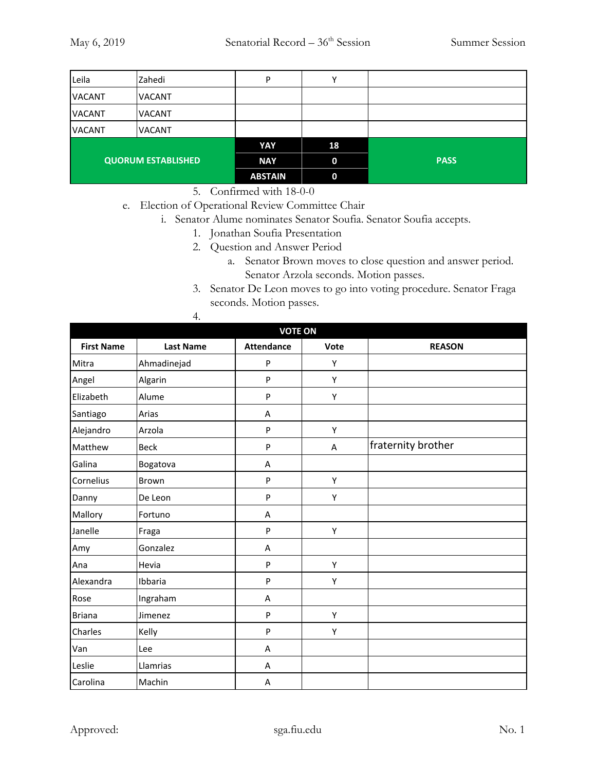| Leila         | Zahedi                    | P              |             |             |
|---------------|---------------------------|----------------|-------------|-------------|
| <b>VACANT</b> | <b>VACANT</b>             |                |             |             |
| <b>VACANT</b> | <b>VACANT</b>             |                |             |             |
| <b>VACANT</b> | <b>VACANT</b>             |                |             |             |
|               |                           | YAY            | 18          |             |
|               | <b>QUORUM ESTABLISHED</b> | <b>NAY</b>     | $\mathbf 0$ | <b>PASS</b> |
|               |                           | <b>ABSTAIN</b> | $\mathbf 0$ |             |

5. Confirmed with 18-0-0

- e. Election of Operational Review Committee Chair
	- i. Senator Alume nominates Senator Soufia. Senator Soufia accepts.
		- 1. Jonathan Soufia Presentation
		- 2. Question and Answer Period
			- a. Senator Brown moves to close question and answer period. Senator Arzola seconds. Motion passes.
		- 3. Senator De Leon moves to go into voting procedure. Senator Fraga seconds. Motion passes.

| 4. |  |  |
|----|--|--|
|    |  |  |

| <b>VOTE ON</b>    |                  |                   |      |                    |
|-------------------|------------------|-------------------|------|--------------------|
| <b>First Name</b> | <b>Last Name</b> | <b>Attendance</b> | Vote | <b>REASON</b>      |
| Mitra             | Ahmadinejad      | P                 | Υ    |                    |
| Angel             | Algarin          | P                 | Y    |                    |
| Elizabeth         | Alume            | P                 | Υ    |                    |
| Santiago          | Arias            | Α                 |      |                    |
| Alejandro         | Arzola           | P                 | Υ    |                    |
| Matthew           | <b>Beck</b>      | P                 | A    | fraternity brother |
| Galina            | Bogatova         | A                 |      |                    |
| Cornelius         | Brown            | P                 | Υ    |                    |
| Danny             | De Leon          | P                 | Υ    |                    |
| Mallory           | Fortuno          | A                 |      |                    |
| Janelle           | Fraga            | P                 | Υ    |                    |
| Amy               | Gonzalez         | A                 |      |                    |
| Ana               | Hevia            | P                 | Υ    |                    |
| Alexandra         | Ibbaria          | P                 | Υ    |                    |
| Rose              | Ingraham         | A                 |      |                    |
| <b>Briana</b>     | Jimenez          | P                 | Υ    |                    |
| Charles           | Kelly            | P                 | Υ    |                    |
| Van               | Lee              | Α                 |      |                    |
| Leslie            | Llamrias         | Α                 |      |                    |
| Carolina          | Machin           | Α                 |      |                    |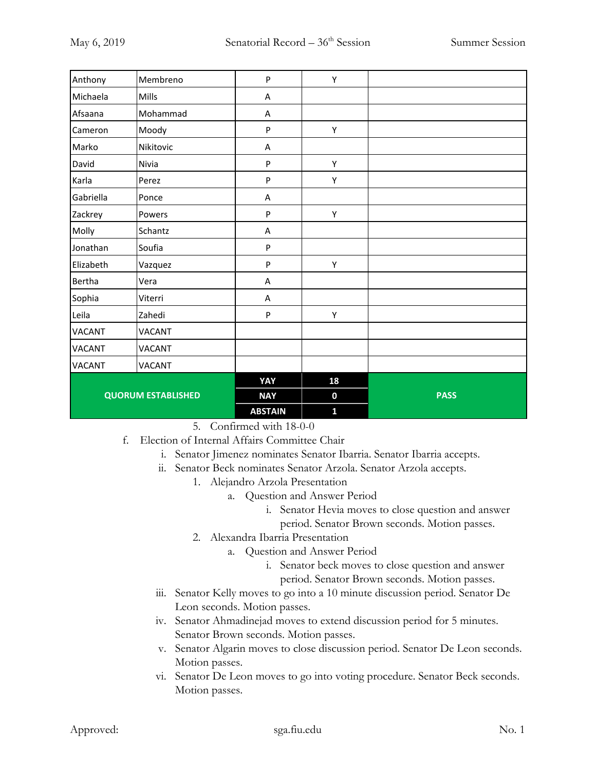| Anthony                   | Membreno      | $\sf P$        | Υ                |             |
|---------------------------|---------------|----------------|------------------|-------------|
| Michaela                  | Mills         | A              |                  |             |
| Afsaana                   | Mohammad      | Α              |                  |             |
| Cameron                   | Moody         | ${\sf P}$      | Υ                |             |
| Marko                     | Nikitovic     | Α              |                  |             |
| David                     | Nivia         | ${\sf P}$      | Υ                |             |
| Karla                     | Perez         | ${\sf P}$      | Υ                |             |
| Gabriella                 | Ponce         | Α              |                  |             |
| Zackrey                   | Powers        | ${\sf P}$      | Υ                |             |
| Molly                     | Schantz       | Α              |                  |             |
| Jonathan                  | Soufia        | ${\sf P}$      |                  |             |
| Elizabeth                 | Vazquez       | ${\sf P}$      | Υ                |             |
| Bertha                    | Vera          | Α              |                  |             |
| Sophia                    | Viterri       | A              |                  |             |
| Leila                     | Zahedi        | P              | Υ                |             |
| <b>VACANT</b>             | <b>VACANT</b> |                |                  |             |
| <b>VACANT</b>             | <b>VACANT</b> |                |                  |             |
| <b>VACANT</b>             | <b>VACANT</b> |                |                  |             |
|                           |               | YAY            | 18               |             |
| <b>QUORUM ESTABLISHED</b> |               | <b>NAY</b>     | $\boldsymbol{0}$ | <b>PASS</b> |
|                           |               | <b>ABSTAIN</b> | $\mathbf{1}$     |             |

- 5. Confirmed with 18-0-0
- f. Election of Internal Affairs Committee Chair
	- i. Senator Jimenez nominates Senator Ibarria. Senator Ibarria accepts.
	- ii. Senator Beck nominates Senator Arzola. Senator Arzola accepts.
		- 1. Alejandro Arzola Presentation
			- a. Question and Answer Period
				- i. Senator Hevia moves to close question and answer period. Senator Brown seconds. Motion passes.
		- 2. Alexandra Ibarria Presentation
			- a. Question and Answer Period
				- i. Senator beck moves to close question and answer period. Senator Brown seconds. Motion passes.
	- iii. Senator Kelly moves to go into a 10 minute discussion period. Senator De Leon seconds. Motion passes.
	- iv. Senator Ahmadinejad moves to extend discussion period for 5 minutes. Senator Brown seconds. Motion passes.
	- v. Senator Algarin moves to close discussion period. Senator De Leon seconds. Motion passes.
	- vi. Senator De Leon moves to go into voting procedure. Senator Beck seconds. Motion passes.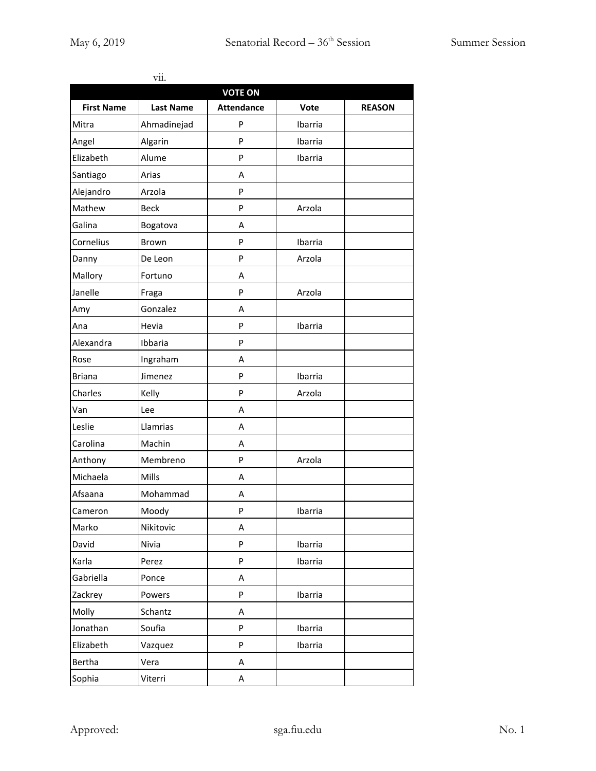|                   | vii.             |                   |         |               |
|-------------------|------------------|-------------------|---------|---------------|
|                   |                  | <b>VOTE ON</b>    |         |               |
| <b>First Name</b> | <b>Last Name</b> | <b>Attendance</b> | Vote    | <b>REASON</b> |
| Mitra             | Ahmadinejad      | P                 | Ibarria |               |
| Angel             | Algarin          | P                 | Ibarria |               |
| Elizabeth         | Alume            | P                 | Ibarria |               |
| Santiago          | Arias            | A                 |         |               |
| Alejandro         | Arzola           | P                 |         |               |
| Mathew            | <b>Beck</b>      | P                 | Arzola  |               |
| Galina            | Bogatova         | A                 |         |               |
| Cornelius         | <b>Brown</b>     | P                 | Ibarria |               |
| Danny             | De Leon          | P                 | Arzola  |               |
| Mallory           | Fortuno          | A                 |         |               |
| Janelle           | Fraga            | P                 | Arzola  |               |
| Amy               | Gonzalez         | A                 |         |               |
| Ana               | Hevia            | P                 | Ibarria |               |
| Alexandra         | Ibbaria          | P                 |         |               |
| Rose              | Ingraham         | A                 |         |               |
| <b>Briana</b>     | Jimenez          | P                 | Ibarria |               |
| Charles           | Kelly            | P                 | Arzola  |               |
| Van               | Lee              | A                 |         |               |
| Leslie            | Llamrias         | A                 |         |               |
| Carolina          | Machin           | A                 |         |               |
| Anthony           | Membreno         | P                 | Arzola  |               |
| Michaela          | Mills            | A                 |         |               |
| Afsaana           | Mohammad         | A                 |         |               |
| Cameron           | Moody            | P                 | Ibarria |               |
| Marko             | Nikitovic        | А                 |         |               |
| David             | Nivia            | P                 | Ibarria |               |
| Karla             | Perez            | P                 | Ibarria |               |
| Gabriella         | Ponce            | А                 |         |               |
| Zackrey           | Powers           | P                 | Ibarria |               |
| Molly             | Schantz          | А                 |         |               |
| Jonathan          | Soufia           | P                 | Ibarria |               |
| Elizabeth         | Vazquez          | P                 | Ibarria |               |
| Bertha            | Vera             | A                 |         |               |
| Sophia            | Viterri          | А                 |         |               |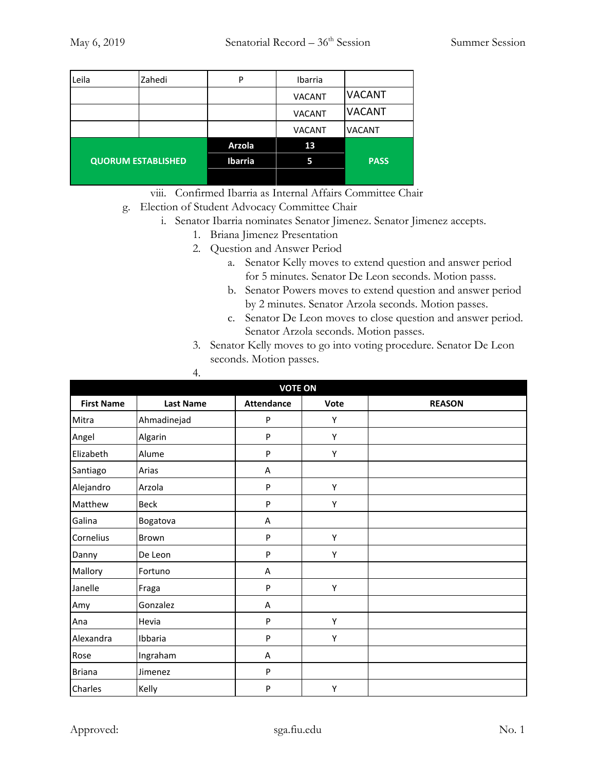| Leila                     | Zahedi | P              | Ibarria       |               |
|---------------------------|--------|----------------|---------------|---------------|
|                           |        |                | <b>VACANT</b> | <b>VACANT</b> |
|                           |        |                | <b>VACANT</b> | <b>VACANT</b> |
|                           |        |                | <b>VACANT</b> | <b>VACANT</b> |
|                           |        | <b>Arzola</b>  | 13            |               |
| <b>QUORUM ESTABLISHED</b> |        | <b>Ibarria</b> | 5             | <b>PASS</b>   |
|                           |        |                |               |               |

viii. Confirmed Ibarria as Internal Affairs Committee Chair

- g. Election of Student Advocacy Committee Chair
	- i. Senator Ibarria nominates Senator Jimenez. Senator Jimenez accepts.
		- 1. Briana Jimenez Presentation
		- 2. Question and Answer Period
			- a. Senator Kelly moves to extend question and answer period for 5 minutes. Senator De Leon seconds. Motion passs.
			- b. Senator Powers moves to extend question and answer period by 2 minutes. Senator Arzola seconds. Motion passes.
			- c. Senator De Leon moves to close question and answer period. Senator Arzola seconds. Motion passes.
		- 3. Senator Kelly moves to go into voting procedure. Senator De Leon seconds. Motion passes.

| <b>VOTE ON</b>    |                  |                   |      |               |
|-------------------|------------------|-------------------|------|---------------|
| <b>First Name</b> | <b>Last Name</b> | <b>Attendance</b> | Vote | <b>REASON</b> |
| Mitra             | Ahmadinejad      | P                 | Υ    |               |
| Angel             | Algarin          | P                 | Υ    |               |
| Elizabeth         | Alume            | P                 | Υ    |               |
| Santiago          | Arias            | Α                 |      |               |
| Alejandro         | Arzola           | P                 | Υ    |               |
| Matthew           | <b>Beck</b>      | P                 | Y    |               |
| Galina            | Bogatova         | Α                 |      |               |
| Cornelius         | Brown            | P                 | Υ    |               |
| Danny             | De Leon          | P                 | Υ    |               |
| Mallory           | Fortuno          | A                 |      |               |
| Janelle           | Fraga            | P                 | Υ    |               |
| Amy               | Gonzalez         | A                 |      |               |
| Ana               | Hevia            | P                 | Υ    |               |
| Alexandra         | Ibbaria          | P                 | Υ    |               |
| Rose              | Ingraham         | Α                 |      |               |
| <b>Briana</b>     | Jimenez          | P                 |      |               |
| Charles           | Kelly            | P                 | Υ    |               |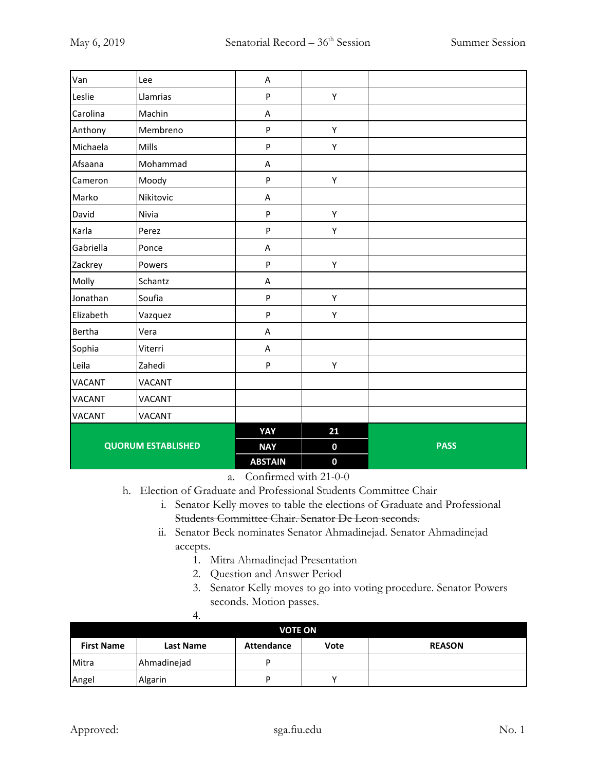| Van           | Lee                       | A              |             |             |
|---------------|---------------------------|----------------|-------------|-------------|
| Leslie        | Llamrias                  | $\mathsf{P}$   | Υ           |             |
| Carolina      | Machin                    | A              |             |             |
| Anthony       | Membreno                  | ${\sf P}$      | Υ           |             |
| Michaela      | Mills                     | ${\sf P}$      | Υ           |             |
| Afsaana       | Mohammad                  | A              |             |             |
| Cameron       | Moody                     | ${\sf P}$      | Υ           |             |
| Marko         | Nikitovic                 | A              |             |             |
| David         | Nivia                     | ${\sf P}$      | Υ           |             |
| Karla         | Perez                     | ${\sf P}$      | Υ           |             |
| Gabriella     | Ponce                     | A              |             |             |
| Zackrey       | Powers                    | ${\sf P}$      | Υ           |             |
| Molly         | Schantz                   | A              |             |             |
| Jonathan      | Soufia                    | ${\sf P}$      | Υ           |             |
| Elizabeth     | Vazquez                   | ${\sf P}$      | Υ           |             |
| Bertha        | Vera                      | A              |             |             |
| Sophia        | Viterri                   | Α              |             |             |
| Leila         | Zahedi                    | ${\sf P}$      | Υ           |             |
| <b>VACANT</b> | <b>VACANT</b>             |                |             |             |
| <b>VACANT</b> | <b>VACANT</b>             |                |             |             |
| <b>VACANT</b> | <b>VACANT</b>             |                |             |             |
|               |                           | YAY            | 21          |             |
|               | <b>QUORUM ESTABLISHED</b> | <b>NAY</b>     | $\mathbf 0$ | <b>PASS</b> |
|               |                           | <b>ABSTAIN</b> | $\mathbf 0$ |             |

a. Confirmed with 21-0-0

h. Election of Graduate and Professional Students Committee Chair

- i. Senator Kelly moves to table the elections of Graduate and Professional Students Committee Chair. Senator De Leon seconds.
- ii. Senator Beck nominates Senator Ahmadinejad. Senator Ahmadinejad accepts.
	- 1. Mitra Ahmadinejad Presentation
	- 2. Question and Answer Period
	- 3. Senator Kelly moves to go into voting procedure. Senator Powers seconds. Motion passes.

|                   | <b>VOTE ON</b>   |                   |      |               |  |
|-------------------|------------------|-------------------|------|---------------|--|
| <b>First Name</b> | <b>Last Name</b> | <b>Attendance</b> | Vote | <b>REASON</b> |  |
| Mitra             | Ahmadinejad      |                   |      |               |  |
| Angel             | Algarin          |                   |      |               |  |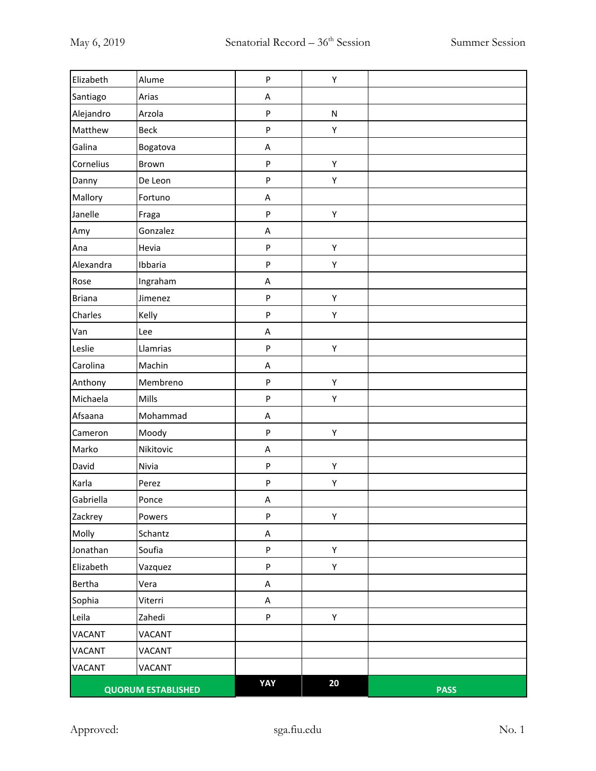| Elizabeth     | Alume                     | ${\sf P}$ | Υ         |             |
|---------------|---------------------------|-----------|-----------|-------------|
| Santiago      | Arias                     | A         |           |             |
| Alejandro     | Arzola                    | $\sf P$   | ${\sf N}$ |             |
| Matthew       | <b>Beck</b>               | ${\sf P}$ | Υ         |             |
| Galina        | Bogatova                  | A         |           |             |
| Cornelius     | Brown                     | ${\sf P}$ | Υ         |             |
| Danny         | De Leon                   | ${\sf P}$ | Υ         |             |
| Mallory       | Fortuno                   | A         |           |             |
| Janelle       | Fraga                     | ${\sf P}$ | Υ         |             |
| Amy           | Gonzalez                  | A         |           |             |
| Ana           | Hevia                     | $\sf P$   | Υ         |             |
| Alexandra     | Ibbaria                   | $\sf P$   | Υ         |             |
| Rose          | Ingraham                  | A         |           |             |
| <b>Briana</b> | Jimenez                   | ${\sf P}$ | Υ         |             |
| Charles       | Kelly                     | ${\sf P}$ | Υ         |             |
| Van           | Lee                       | A         |           |             |
| Leslie        | Llamrias                  | ${\sf P}$ | Υ         |             |
| Carolina      | Machin                    | A         |           |             |
| Anthony       | Membreno                  | ${\sf P}$ | Υ         |             |
| Michaela      | Mills                     | ${\sf P}$ | Υ         |             |
| Afsaana       | Mohammad                  | A         |           |             |
| Cameron       | Moody                     | $\sf P$   | Υ         |             |
| Marko         | Nikitovic                 | A         |           |             |
| David         | Nivia                     | ${\sf P}$ | Υ         |             |
| Karla         | Perez                     | ${\sf P}$ | Υ         |             |
| Gabriella     | Ponce                     | A         |           |             |
| Zackrey       | Powers                    | ${\sf P}$ | Υ         |             |
| Molly         | Schantz                   | A         |           |             |
| Jonathan      | Soufia                    | ${\sf P}$ | Υ         |             |
| Elizabeth     | Vazquez                   | ${\sf P}$ | Υ         |             |
| Bertha        | Vera                      | A         |           |             |
| Sophia        | Viterri                   | A         |           |             |
| Leila         | Zahedi                    | ${\sf P}$ | Υ         |             |
| <b>VACANT</b> | VACANT                    |           |           |             |
| VACANT        | VACANT                    |           |           |             |
| <b>VACANT</b> | VACANT                    |           |           |             |
|               | <b>QUORUM ESTABLISHED</b> | YAY       | 20        | <b>PASS</b> |